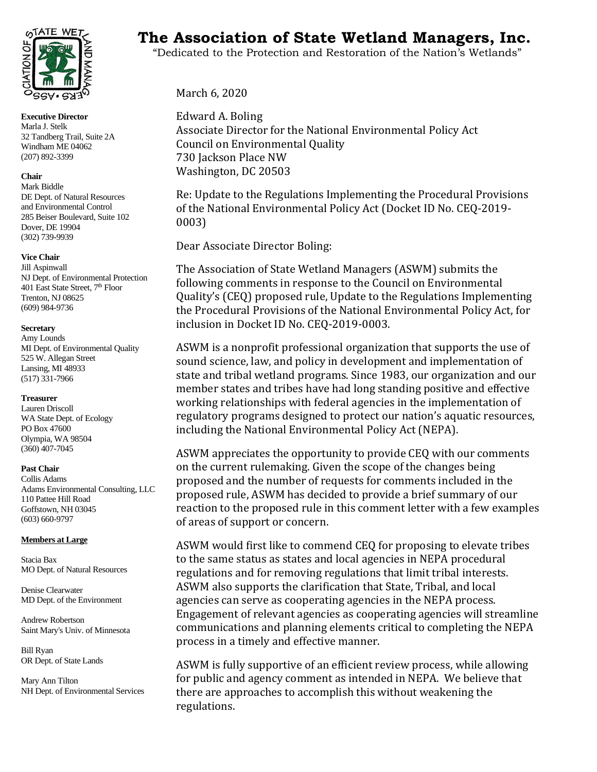

**Executive Director**  Marla J. Stelk 32 Tandberg Trail, Suite 2A Windham ME 04062 (207) 892-3399

#### **Chair**

Mark Biddle DE Dept. of Natural Resources and Environmental Control 285 Beiser Boulevard, Suite 102 Dover, DE 19904 (302) 739-9939

#### **Vice Chair**

Jill Aspinwall NJ Dept. of Environmental Protection 401 East State Street, 7<sup>th</sup> Floor Trenton, NJ 08625 (609) 984-9736

#### **Secretary**

Amy Lounds MI Dept. of Environmental Quality 525 W. Allegan Street Lansing, MI 48933 (517) 331-7966

## **Treasurer**

Lauren Driscoll WA State Dept. of Ecology PO Box 47600 Olympia, WA 98504 (360) 407-7045

## **Past Chair**

Collis Adams Adams Environmental Consulting, LLC 110 Pattee Hill Road Goffstown, NH 03045 (603) 660-9797

## **Members at Large**

Stacia Bax MO Dept. of Natural Resources

Denise Clearwater MD Dept. of the Environment

Andrew Robertson Saint Mary's Univ. of Minnesota

Bill Ryan OR Dept. of State Lands

Mary Ann Tilton NH Dept. of Environmental Services

# TATE WET<sub>S</sub> The Association of State Wetland Managers, Inc.

"Dedicated to the Protection and Restoration of the Nation's Wetlands"

March 6, 2020

Edward A. Boling Associate Director for the National Environmental Policy Act Council on Environmental Quality 730 Jackson Place NW Washington, DC 20503

Re: Update to the Regulations Implementing the Procedural Provisions of the National Environmental Policy Act (Docket ID No. CEQ-2019- 0003)

Dear Associate Director Boling:

The Association of State Wetland Managers (ASWM) submits the following comments in response to the Council on Environmental Quality's (CEQ) proposed rule, Update to the Regulations Implementing the Procedural Provisions of the National Environmental Policy Act, for inclusion in Docket ID No. CEQ-2019-0003.

ASWM is a nonprofit professional organization that supports the use of sound science, law, and policy in development and implementation of state and tribal wetland programs. Since 1983, our organization and our member states and tribes have had long standing positive and effective working relationships with federal agencies in the implementation of regulatory programs designed to protect our nation's aquatic resources, including the National Environmental Policy Act (NEPA).

ASWM appreciates the opportunity to provide CEQ with our comments on the current rulemaking. Given the scope of the changes being proposed and the number of requests for comments included in the proposed rule, ASWM has decided to provide a brief summary of our reaction to the proposed rule in this comment letter with a few examples of areas of support or concern.

ASWM would first like to commend CEQ for proposing to elevate tribes to the same status as states and local agencies in NEPA procedural regulations and for removing regulations that limit tribal interests. ASWM also supports the clarification that State, Tribal, and local agencies can serve as cooperating agencies in the NEPA process. Engagement of relevant agencies as cooperating agencies will streamline communications and planning elements critical to completing the NEPA process in a timely and effective manner.

ASWM is fully supportive of an efficient review process, while allowing for public and agency comment as intended in NEPA. We believe that there are approaches to accomplish this without weakening the regulations.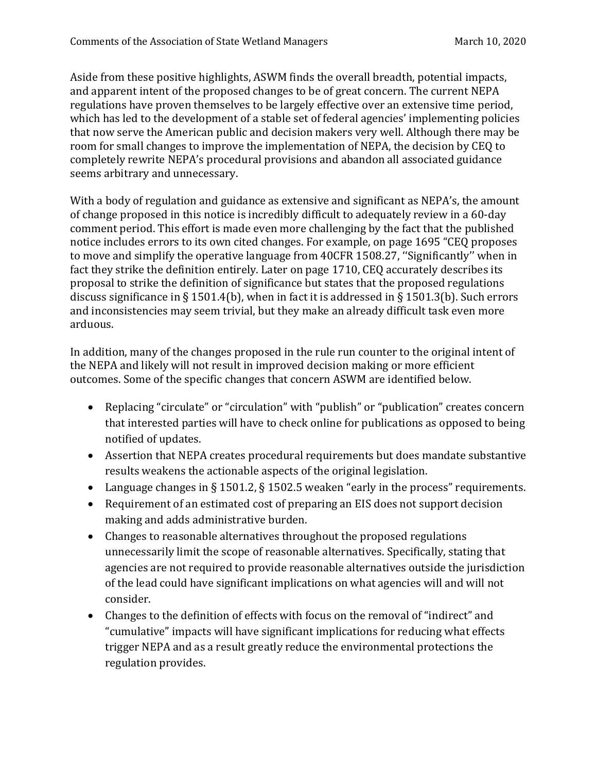Aside from these positive highlights, ASWM finds the overall breadth, potential impacts, and apparent intent of the proposed changes to be of great concern. The current NEPA regulations have proven themselves to be largely effective over an extensive time period, which has led to the development of a stable set of federal agencies' implementing policies that now serve the American public and decision makers very well. Although there may be room for small changes to improve the implementation of NEPA, the decision by CEQ to completely rewrite NEPA's procedural provisions and abandon all associated guidance seems arbitrary and unnecessary.

With a body of regulation and guidance as extensive and significant as NEPA's, the amount of change proposed in this notice is incredibly difficult to adequately review in a 60-day comment period. This effort is made even more challenging by the fact that the published notice includes errors to its own cited changes. For example, on page 1695 "CEQ proposes to move and simplify the operative language from 40CFR 1508.27, ''Significantly'' when in fact they strike the definition entirely. Later on page 1710, CEQ accurately describes its proposal to strike the definition of significance but states that the proposed regulations discuss significance in § 1501.4(b), when in fact it is addressed in § 1501.3(b). Such errors and inconsistencies may seem trivial, but they make an already difficult task even more arduous.

In addition, many of the changes proposed in the rule run counter to the original intent of the NEPA and likely will not result in improved decision making or more efficient outcomes. Some of the specific changes that concern ASWM are identified below.

- Replacing "circulate" or "circulation" with "publish" or "publication" creates concern that interested parties will have to check online for publications as opposed to being notified of updates.
- Assertion that NEPA creates procedural requirements but does mandate substantive results weakens the actionable aspects of the original legislation.
- Language changes in § 1501.2, § 1502.5 weaken "early in the process" requirements.
- Requirement of an estimated cost of preparing an EIS does not support decision making and adds administrative burden.
- Changes to reasonable alternatives throughout the proposed regulations unnecessarily limit the scope of reasonable alternatives. Specifically, stating that agencies are not required to provide reasonable alternatives outside the jurisdiction of the lead could have significant implications on what agencies will and will not consider.
- Changes to the definition of effects with focus on the removal of "indirect" and "cumulative" impacts will have significant implications for reducing what effects trigger NEPA and as a result greatly reduce the environmental protections the regulation provides.